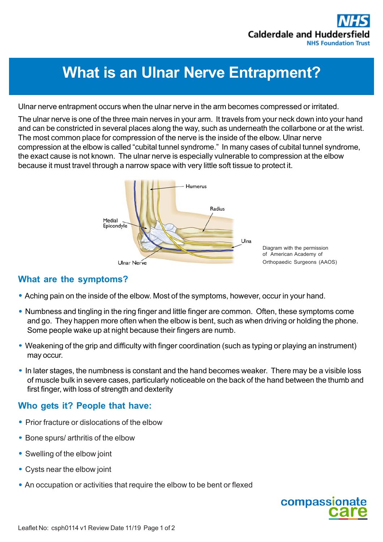# **What is an Ulnar Nerve Entrapment?**

Ulnar nerve entrapment occurs when the ulnar nerve in the arm becomes compressed or irritated.

The ulnar nerve is one of the three main nerves in your arm. It travels from your neck down into your hand and can be constricted in several places along the way, such as underneath the collarbone or at the wrist. The most common place for compression of the nerve is the inside of the elbow. Ulnar nerve compression at the elbow is called "cubital tunnel syndrome." In many cases of cubital tunnel syndrome, the exact cause is not known. The ulnar nerve is especially vulnerable to compression at the elbow because it must travel through a narrow space with very little soft tissue to protect it.



# **What are the symptoms?**

- *•* Aching pain on the inside of the elbow. Most of the symptoms, however, occur in your hand.
- *•* Numbness and tingling in the ring finger and little finger are common. Often, these symptoms come and go. They happen more often when the elbow is bent, such as when driving or holding the phone. Some people wake up at night because their fingers are numb.
- Weakening of the grip and difficulty with finger coordination (such as typing or playing an instrument) may occur.
- *•* In later stages, the numbness is constant and the hand becomes weaker. There may be a visible loss of muscle bulk in severe cases, particularly noticeable on the back of the hand between the thumb and first finger, with loss of strength and dexterity

## **Who gets it? People that have:**

- *•* Prior fracture or dislocations of the elbow
- *•* Bone spurs/ arthritis of the elbow
- *•* Swelling of the elbow joint
- *•* Cysts near the elbow joint
- *•* An occupation or activities that require the elbow to be bent or flexed